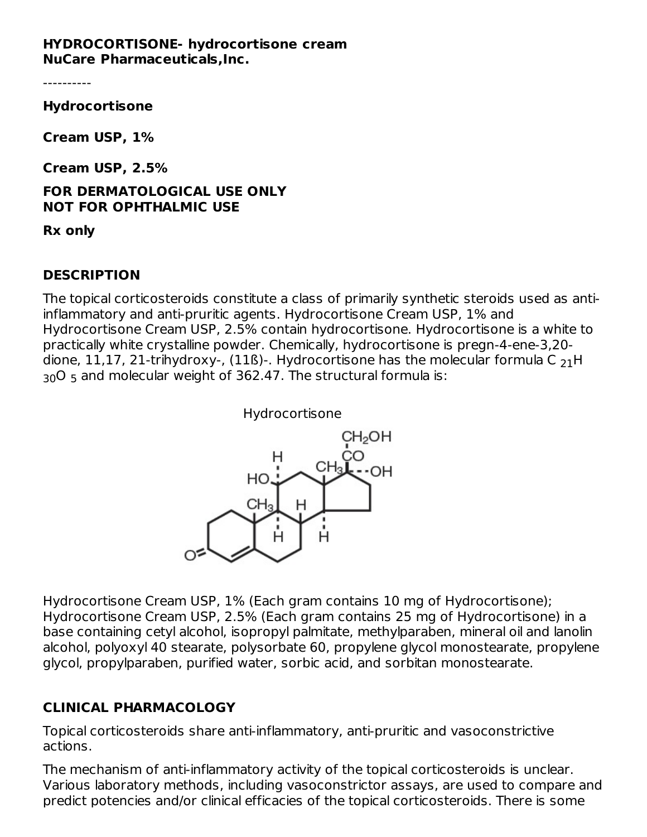#### **HYDROCORTISONE- hydrocortisone cream NuCare Pharmaceuticals,Inc.**

----------

**Hydrocortisone**

**Cream USP, 1%**

**Cream USP, 2.5%**

**FOR DERMATOLOGICAL USE ONLY NOT FOR OPHTHALMIC USE**

**Rx only**

#### **DESCRIPTION**

The topical corticosteroids constitute a class of primarily synthetic steroids used as antiinflammatory and anti-pruritic agents. Hydrocortisone Cream USP, 1% and Hydrocortisone Cream USP, 2.5% contain hydrocortisone. Hydrocortisone is a white to practically white crystalline powder. Chemically, hydrocortisone is pregn-4-ene-3,20 dione, 11,17, 21-trihydroxy-, (11ß)-. Hydrocortisone has the molecular formula C  $_{21}$ H  $_{30}$ O  $_{5}$  and molecular weight of 362.47. The structural formula is:



Hydrocortisone Cream USP, 1% (Each gram contains 10 mg of Hydrocortisone); Hydrocortisone Cream USP, 2.5% (Each gram contains 25 mg of Hydrocortisone) in a base containing cetyl alcohol, isopropyl palmitate, methylparaben, mineral oil and lanolin alcohol, polyoxyl 40 stearate, polysorbate 60, propylene glycol monostearate, propylene glycol, propylparaben, purified water, sorbic acid, and sorbitan monostearate.

### **CLINICAL PHARMACOLOGY**

Topical corticosteroids share anti-inflammatory, anti-pruritic and vasoconstrictive actions.

The mechanism of anti-inflammatory activity of the topical corticosteroids is unclear. Various laboratory methods, including vasoconstrictor assays, are used to compare and predict potencies and/or clinical efficacies of the topical corticosteroids. There is some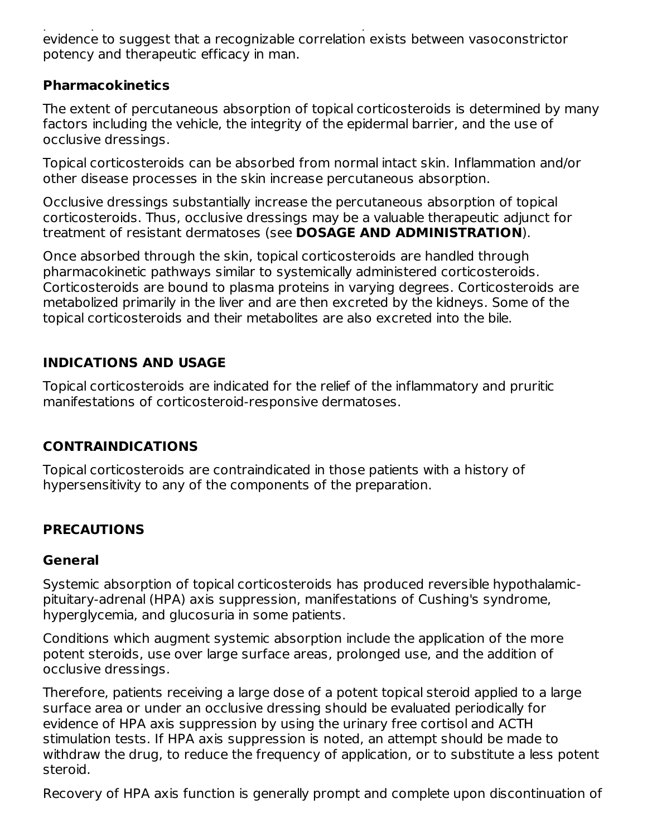predict potencies and/or clinical efficacies of the topical corticosteroids. There is some evidence to suggest that a recognizable correlation exists between vasoconstrictor potency and therapeutic efficacy in man.

#### **Pharmacokinetics**

The extent of percutaneous absorption of topical corticosteroids is determined by many factors including the vehicle, the integrity of the epidermal barrier, and the use of occlusive dressings.

Topical corticosteroids can be absorbed from normal intact skin. Inflammation and/or other disease processes in the skin increase percutaneous absorption.

Occlusive dressings substantially increase the percutaneous absorption of topical corticosteroids. Thus, occlusive dressings may be a valuable therapeutic adjunct for treatment of resistant dermatoses (see **DOSAGE AND ADMINISTRATION**).

Once absorbed through the skin, topical corticosteroids are handled through pharmacokinetic pathways similar to systemically administered corticosteroids. Corticosteroids are bound to plasma proteins in varying degrees. Corticosteroids are metabolized primarily in the liver and are then excreted by the kidneys. Some of the topical corticosteroids and their metabolites are also excreted into the bile.

## **INDICATIONS AND USAGE**

Topical corticosteroids are indicated for the relief of the inflammatory and pruritic manifestations of corticosteroid-responsive dermatoses.

### **CONTRAINDICATIONS**

Topical corticosteroids are contraindicated in those patients with a history of hypersensitivity to any of the components of the preparation.

## **PRECAUTIONS**

#### **General**

Systemic absorption of topical corticosteroids has produced reversible hypothalamicpituitary-adrenal (HPA) axis suppression, manifestations of Cushing's syndrome, hyperglycemia, and glucosuria in some patients.

Conditions which augment systemic absorption include the application of the more potent steroids, use over large surface areas, prolonged use, and the addition of occlusive dressings.

Therefore, patients receiving a large dose of a potent topical steroid applied to a large surface area or under an occlusive dressing should be evaluated periodically for evidence of HPA axis suppression by using the urinary free cortisol and ACTH stimulation tests. If HPA axis suppression is noted, an attempt should be made to withdraw the drug, to reduce the frequency of application, or to substitute a less potent steroid.

Recovery of HPA axis function is generally prompt and complete upon discontinuation of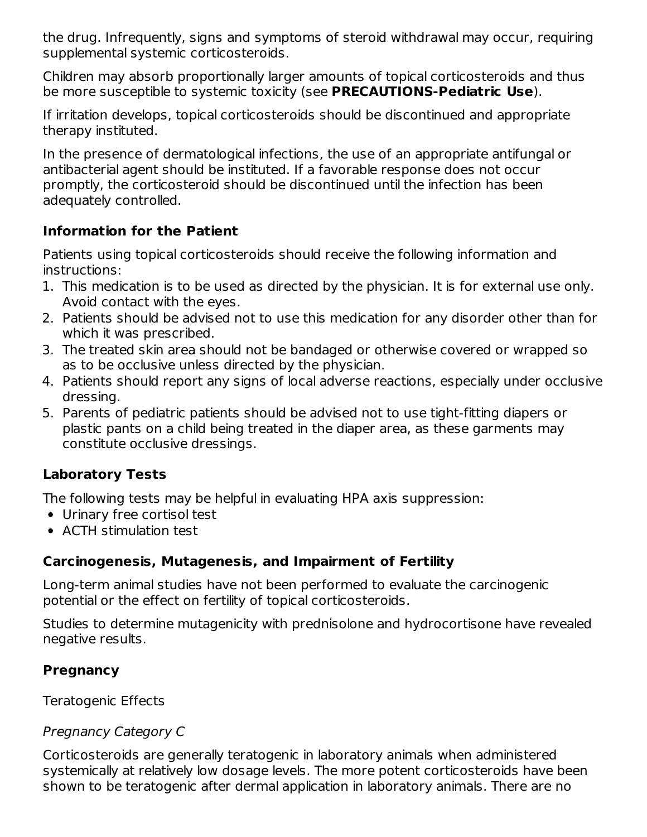the drug. Infrequently, signs and symptoms of steroid withdrawal may occur, requiring supplemental systemic corticosteroids.

Children may absorb proportionally larger amounts of topical corticosteroids and thus be more susceptible to systemic toxicity (see **PRECAUTIONS-Pediatric Use**).

If irritation develops, topical corticosteroids should be discontinued and appropriate therapy instituted.

In the presence of dermatological infections, the use of an appropriate antifungal or antibacterial agent should be instituted. If a favorable response does not occur promptly, the corticosteroid should be discontinued until the infection has been adequately controlled.

## **Information for the Patient**

Patients using topical corticosteroids should receive the following information and instructions:

- 1. This medication is to be used as directed by the physician. It is for external use only. Avoid contact with the eyes.
- 2. Patients should be advised not to use this medication for any disorder other than for which it was prescribed.
- 3. The treated skin area should not be bandaged or otherwise covered or wrapped so as to be occlusive unless directed by the physician.
- 4. Patients should report any signs of local adverse reactions, especially under occlusive dressing.
- 5. Parents of pediatric patients should be advised not to use tight-fitting diapers or plastic pants on a child being treated in the diaper area, as these garments may constitute occlusive dressings.

## **Laboratory Tests**

The following tests may be helpful in evaluating HPA axis suppression:

- Urinary free cortisol test
- ACTH stimulation test

## **Carcinogenesis, Mutagenesis, and Impairment of Fertility**

Long-term animal studies have not been performed to evaluate the carcinogenic potential or the effect on fertility of topical corticosteroids.

Studies to determine mutagenicity with prednisolone and hydrocortisone have revealed negative results.

## **Pregnancy**

Teratogenic Effects

### Pregnancy Category C

Corticosteroids are generally teratogenic in laboratory animals when administered systemically at relatively low dosage levels. The more potent corticosteroids have been shown to be teratogenic after dermal application in laboratory animals. There are no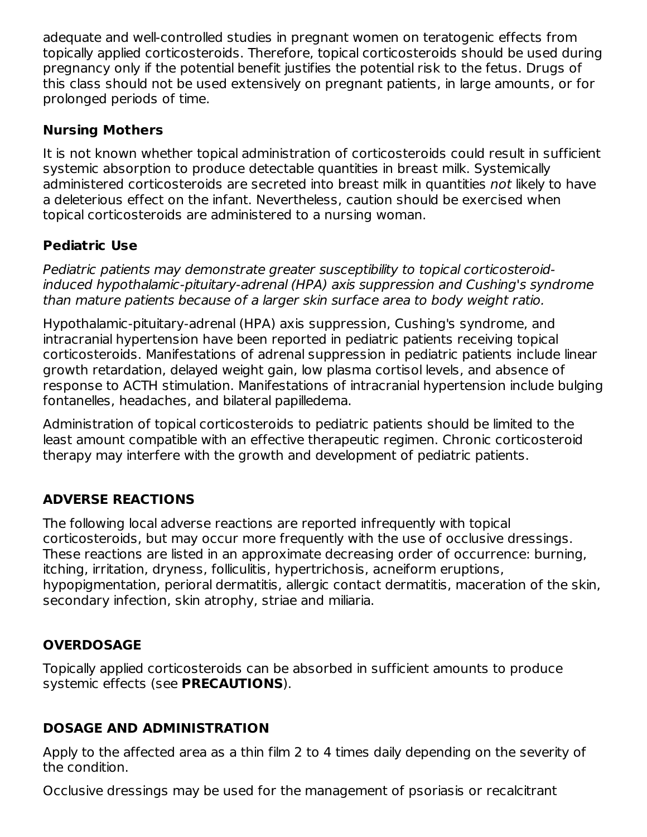adequate and well-controlled studies in pregnant women on teratogenic effects from topically applied corticosteroids. Therefore, topical corticosteroids should be used during pregnancy only if the potential benefit justifies the potential risk to the fetus. Drugs of this class should not be used extensively on pregnant patients, in large amounts, or for prolonged periods of time.

### **Nursing Mothers**

It is not known whether topical administration of corticosteroids could result in sufficient systemic absorption to produce detectable quantities in breast milk. Systemically administered corticosteroids are secreted into breast milk in quantities not likely to have a deleterious effect on the infant. Nevertheless, caution should be exercised when topical corticosteroids are administered to a nursing woman.

## **Pediatric Use**

Pediatric patients may demonstrate greater susceptibility to topical corticosteroidinduced hypothalamic-pituitary-adrenal (HPA) axis suppression and Cushing's syndrome than mature patients because of a larger skin surface area to body weight ratio.

Hypothalamic-pituitary-adrenal (HPA) axis suppression, Cushing's syndrome, and intracranial hypertension have been reported in pediatric patients receiving topical corticosteroids. Manifestations of adrenal suppression in pediatric patients include linear growth retardation, delayed weight gain, low plasma cortisol levels, and absence of response to ACTH stimulation. Manifestations of intracranial hypertension include bulging fontanelles, headaches, and bilateral papilledema.

Administration of topical corticosteroids to pediatric patients should be limited to the least amount compatible with an effective therapeutic regimen. Chronic corticosteroid therapy may interfere with the growth and development of pediatric patients.

## **ADVERSE REACTIONS**

The following local adverse reactions are reported infrequently with topical corticosteroids, but may occur more frequently with the use of occlusive dressings. These reactions are listed in an approximate decreasing order of occurrence: burning, itching, irritation, dryness, folliculitis, hypertrichosis, acneiform eruptions, hypopigmentation, perioral dermatitis, allergic contact dermatitis, maceration of the skin, secondary infection, skin atrophy, striae and miliaria.

## **OVERDOSAGE**

Topically applied corticosteroids can be absorbed in sufficient amounts to produce systemic effects (see **PRECAUTIONS**).

## **DOSAGE AND ADMINISTRATION**

Apply to the affected area as a thin film 2 to 4 times daily depending on the severity of the condition.

Occlusive dressings may be used for the management of psoriasis or recalcitrant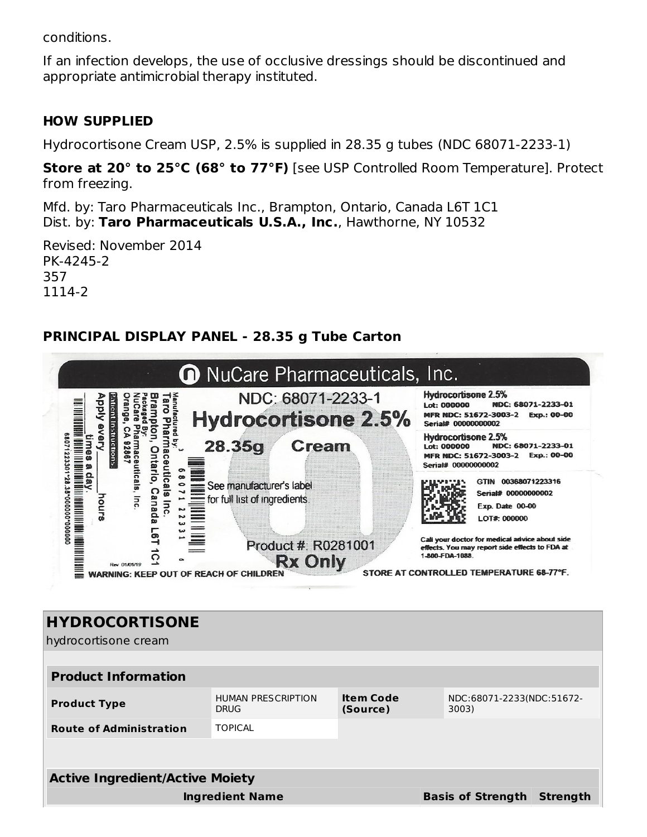conditions.

If an infection develops, the use of occlusive dressings should be discontinued and appropriate antimicrobial therapy instituted.

#### **HOW SUPPLIED**

Hydrocortisone Cream USP, 2.5% is supplied in 28.35 g tubes (NDC 68071-2233-1)

**Store at 20° to 25°C (68° to 77°F)** [see USP Controlled Room Temperature]. Protect from freezing.

Mfd. by: Taro Pharmaceuticals Inc., Brampton, Ontario, Canada L6T 1C1 Dist. by: **Taro Pharmaceuticals U.S.A., Inc.**, Hawthorne, NY 10532

Revised: November 2014 PK-4245-2 357 1114-2

#### **PRINCIPAL DISPLAY PANEL - 28.35 g Tube Carton**

| <b>O</b> NuCare Pharmaceuticals, Inc.<br>NDC: 68071-2233-1<br>√anufactured<br>Auene Aiddy<br>ationt instructions<br>range<br><b>Hydrocortisone 2.5%</b><br>pha<br>68071223301*28.35*0000000*000000<br>times<br>š"<br>maceuticals inc<br>28.35g<br><b>Cream</b><br>maceuticals, inc<br>Ontario,<br>⅏<br>day<br>See manufacturer's label<br>$\bullet$<br>Canada<br>for full list of ingredients<br>nour<br><u>5</u><br>Product #: R0281001<br><b>Rx Only</b><br><b>Rev 01/01/19</b><br>WARNING: KEEP OUT OF REACH OF CHILDREN |                                          |                              | Hydrocortisone 2.5%<br>Lot: 000000<br>NDC: 68071-2233-01<br>MFR NDC: 51672-3003-2<br>Exp.: 00-00<br>Serial# 00000000002<br><b>Hydrocortisone 2.5%</b><br>NDC: 68071-2233-01<br><b>Lot: 000000</b><br>MFR NDC: 51672-3003-2<br>Exp.: 00-00<br>Serial# 00000000002<br>GTIN 00368071223316<br>Serial# 00000000002<br>Exp. Date 00-00<br>LOT#: 000000 |
|-----------------------------------------------------------------------------------------------------------------------------------------------------------------------------------------------------------------------------------------------------------------------------------------------------------------------------------------------------------------------------------------------------------------------------------------------------------------------------------------------------------------------------|------------------------------------------|------------------------------|---------------------------------------------------------------------------------------------------------------------------------------------------------------------------------------------------------------------------------------------------------------------------------------------------------------------------------------------------|
|                                                                                                                                                                                                                                                                                                                                                                                                                                                                                                                             |                                          |                              | Call your doctor for medical advice about side<br>effects. You may report side effects to FDA at<br>1-800-FDA-1088.<br>STORE AT CONTROLLED TEMPERATURE 68-77°F.                                                                                                                                                                                   |
| <b>HYDROCORTISONE</b>                                                                                                                                                                                                                                                                                                                                                                                                                                                                                                       |                                          |                              |                                                                                                                                                                                                                                                                                                                                                   |
| hydrocortisone cream                                                                                                                                                                                                                                                                                                                                                                                                                                                                                                        |                                          |                              |                                                                                                                                                                                                                                                                                                                                                   |
| <b>Product Information</b>                                                                                                                                                                                                                                                                                                                                                                                                                                                                                                  |                                          |                              |                                                                                                                                                                                                                                                                                                                                                   |
| <b>Product Type</b>                                                                                                                                                                                                                                                                                                                                                                                                                                                                                                         | <b>HUMAN PRESCRIPTION</b><br><b>DRUG</b> | <b>Item Code</b><br>(Source) | NDC:68071-2233(NDC:51672-<br>3003)                                                                                                                                                                                                                                                                                                                |

| <b>Active Ingredient/Active Moiety</b> |                                   |  |
|----------------------------------------|-----------------------------------|--|
| <b>Ingredient Name</b>                 | <b>Basis of Strength Strength</b> |  |